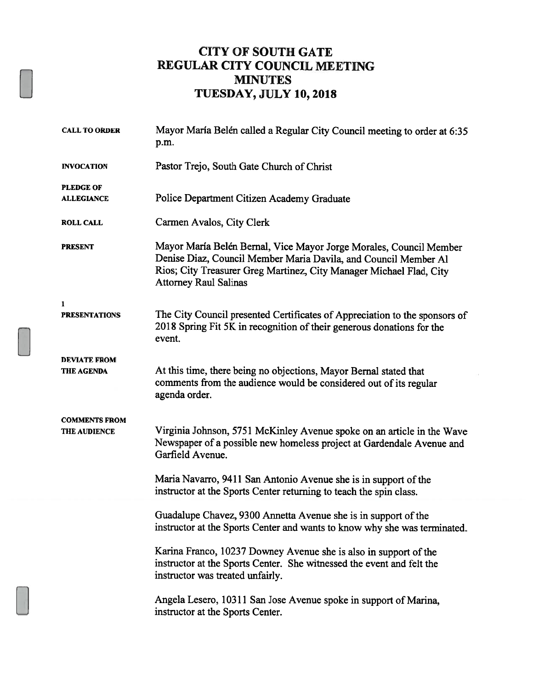## CITY OF SOUTH GATE REGULAR CITY COUNCIL MEETING MINUTES TUESDAY, JULY 10, 2018

| <b>CALL TO ORDER</b>                        | Mayor María Belén called a Regular City Council meeting to order at 6:35<br>p.m.                                                                                                                                                             |
|---------------------------------------------|----------------------------------------------------------------------------------------------------------------------------------------------------------------------------------------------------------------------------------------------|
| <b>INVOCATION</b>                           | Pastor Trejo, South Gate Church of Christ                                                                                                                                                                                                    |
| <b>PLEDGE OF</b><br><b>ALLEGIANCE</b>       | Police Department Citizen Academy Graduate                                                                                                                                                                                                   |
| <b>ROLL CALL</b>                            | Carmen Avalos, City Clerk                                                                                                                                                                                                                    |
| <b>PRESENT</b>                              | Mayor María Belén Bernal, Vice Mayor Jorge Morales, Council Member<br>Denise Diaz, Council Member Maria Davila, and Council Member Al<br>Rios; City Treasurer Greg Martinez, City Manager Michael Flad, City<br><b>Attorney Raul Salinas</b> |
| $\mathbf{1}$<br><b>PRESENTATIONS</b>        | The City Council presented Certificates of Appreciation to the sponsors of<br>2018 Spring Fit 5K in recognition of their generous donations for the<br>event.                                                                                |
| <b>DEVIATE FROM</b><br>THE AGENDA           | At this time, there being no objections, Mayor Bernal stated that<br>comments from the audience would be considered out of its regular<br>agenda order.                                                                                      |
| <b>COMMENTS FROM</b><br><b>THE AUDIENCE</b> | Virginia Johnson, 5751 McKinley Avenue spoke on an article in the Wave<br>Newspaper of a possible new homeless project at Gardendale Avenue and<br>Garfield Avenue.                                                                          |
|                                             | Maria Navarro, 9411 San Antonio Avenue she is in support of the<br>instructor at the Sports Center returning to teach the spin class.                                                                                                        |
|                                             | Guadalupe Chavez, 9300 Annetta Avenue she is in support of the<br>instructor at the Sports Center and wants to know why she was terminated.                                                                                                  |
|                                             | Karina Franco, 10237 Downey Avenue she is also in support of the<br>instructor at the Sports Center. She witnessed the event and felt the<br>instructor was treated unfairly.                                                                |
|                                             | Angela Lesero, 10311 San Jose Avenue spoke in support of Marina,<br>instructor at the Sports Center.                                                                                                                                         |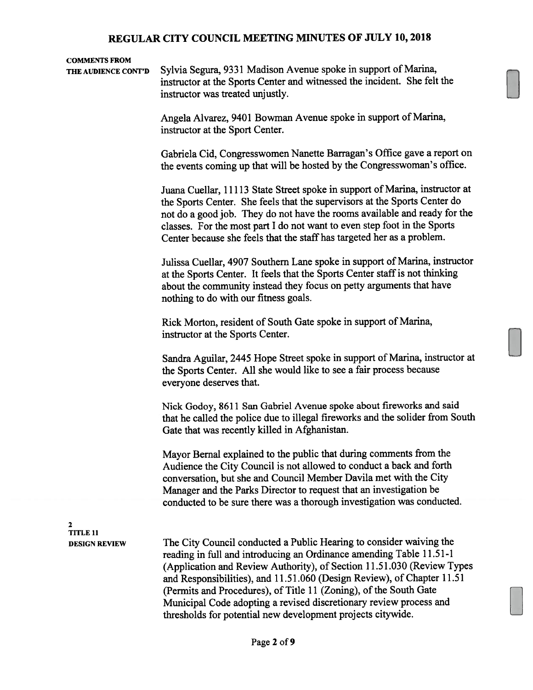#### COMMENTS FROM

THE AUDIENCE CONT'D Sylvia Segura, 9331 Madison Avenue spoke in support of Marina, instructor at the Sports Center and witnessed the incident. She felt the instructor was treated unjustly.

> Angela Alvarez, 9401 Bowman Avenue spoke in support of Marina, instructor at the Sport Center.

Gabriela Cid, Congresswomen Nanette Barragan's Office gave a report on the events coming up that will be hosted by the Congresswoman's office.

Juana Cuellar, 11113 State Street spoke in support of Marina, instructor at the Sports Center. She feels that the supervisors at the Sports Center do not do a good job. They do not have the rooms available and ready for the classes. For the most part <sup>I</sup> do not want to even step foot in the Sports Center because she feels that the staff has targeted her as a problem.

Julissa Cuellar, 4907 Southern Lane spoke in support of Marina, instructor at the Sports Center. It feels that the Sports Center staff is not thinking about the community instead they focus on petty arguments that have nothing to do with our fitness goals.

Rick Morton, resident of South Gate spoke in support of Marina, instructor at the Sports Center.

Sandra Aguilar, 2445 Hope Street spoke in support of Marina, instructor at the Sports Center. All she would like to see a fair process because everyone deserves that.

Nick Godoy, 8611 San Gabriel Avenue spoke about fireworks and said that he called the police due to illegal fireworks and the solider from South Gate that was recently killed in Afghanistan.

Mayor Bernal explained to the public that during comments from the Audience the City Council is not allowed to conduct a back and forth conversation, but she and Council Member Davila met with the City Manager and the Parks Director to request that an investigation be conducted to be sure there was a thorough investigation was conducted.

2 TITLE 11

DESIGN REVIEW The City Council conducted a Public Hearing to consider waiving the reading in full and introducing an Ordinance amending Table 11.51-1 (Application and Review Authority), of Section 11.51.030 (Review Types and Responsibilities), and 11.51.060 (Design Review), of Chapter 11.51 (Permits and Procedures), of Title <sup>11</sup> (Zoning), of the South Gate Municipal Code adopting a revised discretionary review process and thresholds for potential new development projects citywide.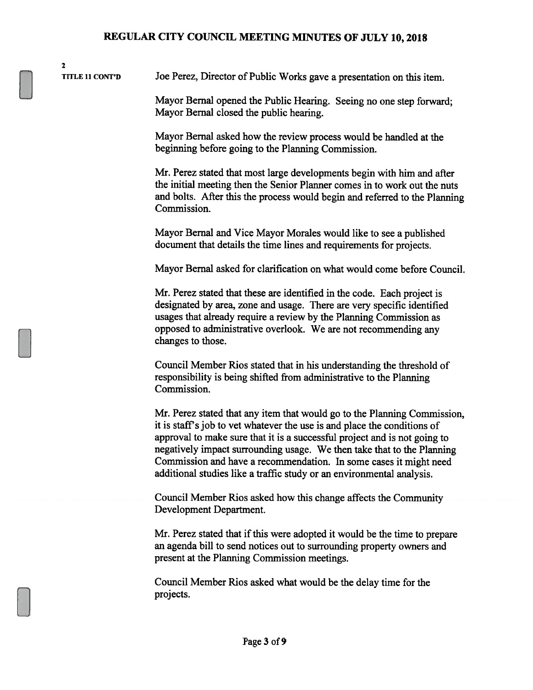2

TITLE <sup>11</sup> CONT'D Joe Perez, Director of Public Works gave a presentation on this item.

Mayor Bernal opened the Public Hearing. Seeing no one step forward; Mayor Bernal closed the public hearing.

Mayor Bemal asked how the review process would be handled at the beginning before going to the Planning Commission.

Mr. Perez stated that most large developments begin with him and after the initial meeting then the Senior Planner comes in to work out the nuts and bolts. After this the process would begin and referred to the Planning Commission.

Mayor Bemal and Vice Mayor Morales would like to see a published document that details the time lines and requirements for projects.

Mayor Bernal asked for clarification on what would come before Council.

Mr. Perez stated that these are identified in the code. Each project is designated by area, zone and usage. There are very specific identified usages that already require a review by the Planning Commission as opposed to administrative overlook. We are not recommending any changes to those.

Council Member Rios stated that in his understanding the threshold of responsibility is being shifted from administrative to the Planning Commission.

Mr. Perez stated that any item that would go to the Planning Commission, it is staff's job to vet whatever the use is and place the conditions of approval to make sure that it is a successful project and is not going to negatively impact surrounding usage. We then take that to the Planning Commission and have a recommendation. In some cases it might need additional studies like a traffic study or an environmental analysis.

Council Member Rios asked how this change affects the Community Development Department.

Mr. Perez stated that if this were adopted it would be the time to prepare an agenda bill to send notices out to surrounding property owners and present at the Planning Commission meetings.

Council Member Rios asked what would be the delay time for the projects.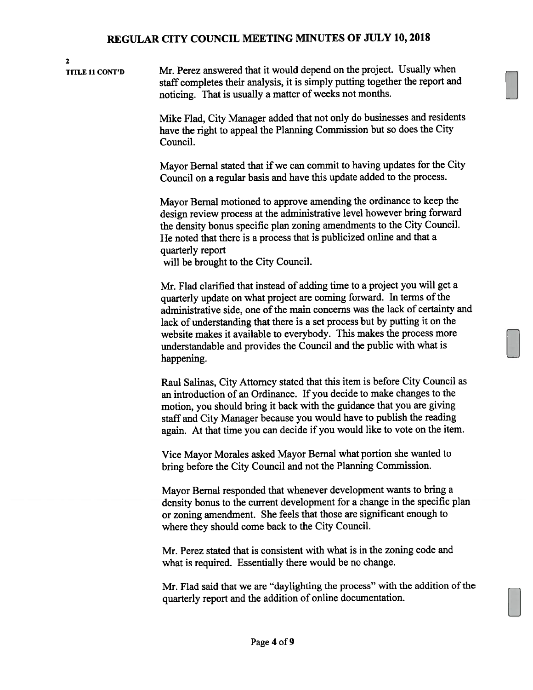2 TITLE 11 CONT'D Mr. Perez answered that it would depend on the project. Usually when staff completes their analysis, it is simply putting together the repor<sup>t</sup> and noticing. That is usually <sup>a</sup> matter of weeks not months. Mike Flad, City Manager added that not only do businesses and residents have the right to appea<sup>l</sup> the Planning Commission but so does the City Council. Mayor Bernal stated that if we can commit to having updates for the City Council on <sup>a</sup> regular basis and have this update added to the process. Mayor Bernal motioned to approve amending the ordinance to keep the design review process at the administrative level however bring forward the density bonus specific <sup>p</sup>lan zoning amendments to the City Council. He noted that there is <sup>a</sup> process that is publicized online and that <sup>a</sup> quarterly repor<sup>t</sup> will be brought to the City Council. Mr. Flad clarified that instead of adding time to <sup>a</sup> project you will ge<sup>t</sup> <sup>a</sup> quarterly update on what project are coming forward. In terms of the administrative side, one of the main concerns was the lack of certainty and lack of understanding that there is <sup>a</sup> set process but by putting it on the website makes it available to everybody. This makes the process more understandable and provides the Council and the public with what is happening. Raul Salinas, City Attorney stated that this item is before City Council as an introduction of an Ordinance. If you decide to make changes to the motion, you should bring it back with the guidance that you are <sup>g</sup>iving staff and City Manager because you would have to publish the reading again. At that time you can decide if you would like to vote on the item. Vice Mayor Morales asked Mayor Bernal what portion she wanted to bring before the City Council and not the Planning Commission. Mayor Bemal responded that whenever development wants to bring <sup>a</sup> density bonus to the current development for <sup>a</sup> change in the specific <sup>p</sup>lan or zoning amendment. She feels that those are significant enoug<sup>h</sup> to where they should come back to the City Council. Mr. Perez stated that is consistent with what is in the zoning code and what is required. Essentially there would be no change. Mr. Flad said that we are "daylighting the process" with the addition of the quarterly repor<sup>t</sup> and the addition of online documentation.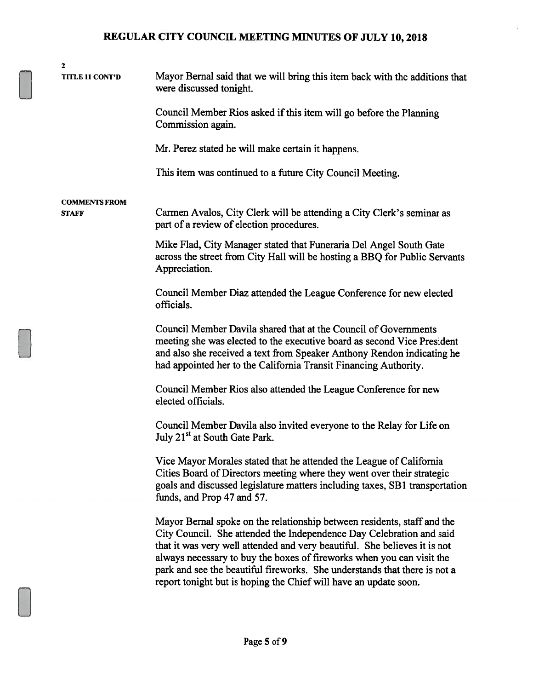| $\mathbf{2}$<br><b>TITLE 11 CONT'D</b> | Mayor Bernal said that we will bring this item back with the additions that<br>were discussed tonight.                                                                                                                                                                                                                                                                                                                                                 |
|----------------------------------------|--------------------------------------------------------------------------------------------------------------------------------------------------------------------------------------------------------------------------------------------------------------------------------------------------------------------------------------------------------------------------------------------------------------------------------------------------------|
|                                        | Council Member Rios asked if this item will go before the Planning<br>Commission again.                                                                                                                                                                                                                                                                                                                                                                |
|                                        | Mr. Perez stated he will make certain it happens.                                                                                                                                                                                                                                                                                                                                                                                                      |
|                                        | This item was continued to a future City Council Meeting.                                                                                                                                                                                                                                                                                                                                                                                              |
| <b>COMMENTS FROM</b><br><b>STAFF</b>   | Carmen Avalos, City Clerk will be attending a City Clerk's seminar as<br>part of a review of election procedures.                                                                                                                                                                                                                                                                                                                                      |
|                                        | Mike Flad, City Manager stated that Funeraria Del Angel South Gate<br>across the street from City Hall will be hosting a BBQ for Public Servants<br>Appreciation.                                                                                                                                                                                                                                                                                      |
|                                        | Council Member Diaz attended the League Conference for new elected<br>officials.                                                                                                                                                                                                                                                                                                                                                                       |
|                                        | Council Member Davila shared that at the Council of Governments<br>meeting she was elected to the executive board as second Vice President<br>and also she received a text from Speaker Anthony Rendon indicating he<br>had appointed her to the California Transit Financing Authority.                                                                                                                                                               |
|                                        | Council Member Rios also attended the League Conference for new<br>elected officials.                                                                                                                                                                                                                                                                                                                                                                  |
|                                        | Council Member Davila also invited everyone to the Relay for Life on<br>July 21 <sup>st</sup> at South Gate Park.                                                                                                                                                                                                                                                                                                                                      |
|                                        | Vice Mayor Morales stated that he attended the League of California<br>Cities Board of Directors meeting where they went over their strategic<br>goals and discussed legislature matters including taxes, SB1 transportation<br>funds, and Prop 47 and 57.                                                                                                                                                                                             |
|                                        | Mayor Bernal spoke on the relationship between residents, staff and the<br>City Council. She attended the Independence Day Celebration and said<br>that it was very well attended and very beautiful. She believes it is not<br>always necessary to buy the boxes of fireworks when you can visit the<br>park and see the beautiful fireworks. She understands that there is not a<br>report tonight but is hoping the Chief will have an update soon. |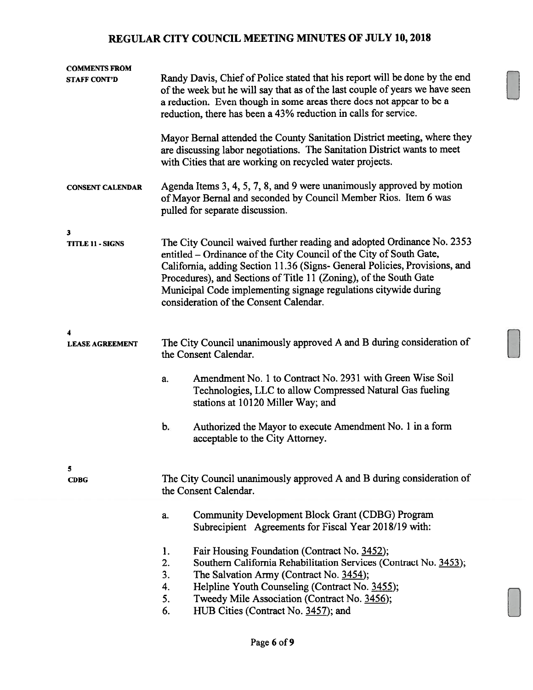| <b>COMMENTS FROM</b><br><b>STAFF CONT'D</b> | Randy Davis, Chief of Police stated that his report will be done by the end<br>of the week but he will say that as of the last couple of years we have seen<br>a reduction. Even though in some areas there does not appear to be a<br>reduction, there has been a 43% reduction in calls for service.                                                                                                        |                                                                                                                                                                                                                                                                                                      |  |
|---------------------------------------------|---------------------------------------------------------------------------------------------------------------------------------------------------------------------------------------------------------------------------------------------------------------------------------------------------------------------------------------------------------------------------------------------------------------|------------------------------------------------------------------------------------------------------------------------------------------------------------------------------------------------------------------------------------------------------------------------------------------------------|--|
|                                             |                                                                                                                                                                                                                                                                                                                                                                                                               | Mayor Bernal attended the County Sanitation District meeting, where they<br>are discussing labor negotiations. The Sanitation District wants to meet<br>with Cities that are working on recycled water projects.                                                                                     |  |
| <b>CONSENT CALENDAR</b>                     |                                                                                                                                                                                                                                                                                                                                                                                                               | Agenda Items 3, 4, 5, 7, 8, and 9 were unanimously approved by motion<br>of Mayor Bernal and seconded by Council Member Rios. Item 6 was<br>pulled for separate discussion.                                                                                                                          |  |
| 3<br><b>TITLE 11 - SIGNS</b>                | The City Council waived further reading and adopted Ordinance No. 2353<br>entitled - Ordinance of the City Council of the City of South Gate,<br>California, adding Section 11.36 (Signs- General Policies, Provisions, and<br>Procedures), and Sections of Title 11 (Zoning), of the South Gate<br>Municipal Code implementing signage regulations citywide during<br>consideration of the Consent Calendar. |                                                                                                                                                                                                                                                                                                      |  |
| <b>LEASE AGREEMENT</b>                      | The City Council unanimously approved A and B during consideration of<br>the Consent Calendar.                                                                                                                                                                                                                                                                                                                |                                                                                                                                                                                                                                                                                                      |  |
|                                             | a.                                                                                                                                                                                                                                                                                                                                                                                                            | Amendment No. 1 to Contract No. 2931 with Green Wise Soil<br>Technologies, LLC to allow Compressed Natural Gas fueling<br>stations at 10120 Miller Way; and                                                                                                                                          |  |
|                                             | b.                                                                                                                                                                                                                                                                                                                                                                                                            | Authorized the Mayor to execute Amendment No. 1 in a form<br>acceptable to the City Attorney.                                                                                                                                                                                                        |  |
| 5<br><b>CDBG</b>                            | The City Council unanimously approved A and B during consideration of<br>the Consent Calendar.                                                                                                                                                                                                                                                                                                                |                                                                                                                                                                                                                                                                                                      |  |
|                                             | a.                                                                                                                                                                                                                                                                                                                                                                                                            | Community Development Block Grant (CDBG) Program<br>Subrecipient Agreements for Fiscal Year 2018/19 with:                                                                                                                                                                                            |  |
|                                             | 1.<br>2.<br>3.<br>4.<br>5.<br>6.                                                                                                                                                                                                                                                                                                                                                                              | Fair Housing Foundation (Contract No. 3452);<br>Southern California Rehabilitation Services (Contract No. 3453);<br>The Salvation Army (Contract No. 3454);<br>Helpline Youth Counseling (Contract No. 3455);<br>Tweedy Mile Association (Contract No. 3456);<br>HUB Cities (Contract No. 3457); and |  |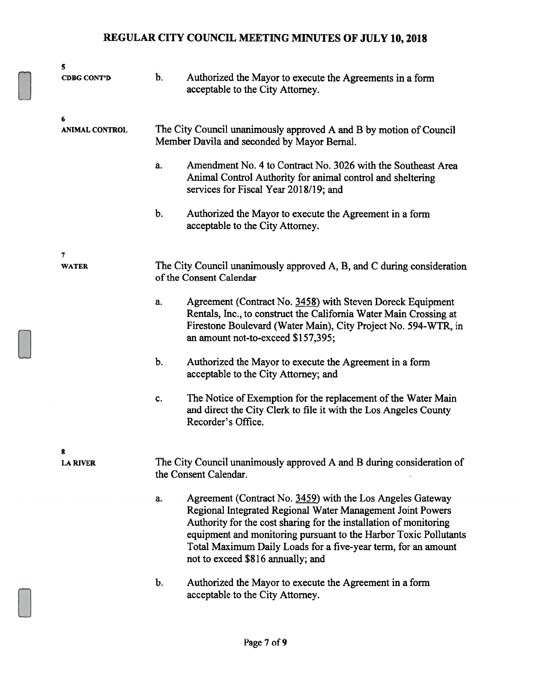| 5                          |       |                                                                                                                                                                                                                                                                                                                                    |
|----------------------------|-------|------------------------------------------------------------------------------------------------------------------------------------------------------------------------------------------------------------------------------------------------------------------------------------------------------------------------------------|
| <b>CDBG CONT'D</b>         | b.    | Authorized the Mayor to execute the Agreements in a form<br>acceptable to the City Attorney.                                                                                                                                                                                                                                       |
| 6<br><b>ANIMAL CONTROL</b> |       | The City Council unanimously approved A and B by motion of Council<br>Member Davila and seconded by Mayor Bernal.                                                                                                                                                                                                                  |
|                            | a.    | Amendment No. 4 to Contract No. 3026 with the Southeast Area<br>Animal Control Authority for animal control and sheltering<br>services for Fiscal Year 2018/19; and                                                                                                                                                                |
|                            | $b$ . | Authorized the Mayor to execute the Agreement in a form<br>acceptable to the City Attorney.                                                                                                                                                                                                                                        |
| 7<br><b>WATER</b>          |       | The City Council unanimously approved A, B, and C during consideration<br>of the Consent Calendar                                                                                                                                                                                                                                  |
|                            | a.    | Agreement (Contract No. 3458) with Steven Doreck Equipment<br>Rentals, Inc., to construct the California Water Main Crossing at<br>Firestone Boulevard (Water Main), City Project No. 594-WTR, in<br>an amount not-to-exceed \$157,395;                                                                                            |
|                            | $b$ . | Authorized the Mayor to execute the Agreement in a form<br>acceptable to the City Attorney; and                                                                                                                                                                                                                                    |
|                            | c.    | The Notice of Exemption for the replacement of the Water Main<br>and direct the City Clerk to file it with the Los Angeles County<br>Recorder's Office.                                                                                                                                                                            |
| 8<br><b>LA RIVER</b>       |       | The City Council unanimously approved A and B during consideration of<br>the Consent Calendar.                                                                                                                                                                                                                                     |
|                            | a.    | Agreement (Contract No. 3459) with the Los Angeles Gateway<br>Regional Integrated Regional Water Management Joint Powers<br>Authority for the cost sharing for the installation of monitoring<br>equipment and monitoring pursuant to the Harbor Toxic Pollutants<br>Total Maximum Daily Loads for a five-year term, for an amount |
|                            | b.    | not to exceed \$816 annually; and<br>Authorized the Mayor to execute the Agreement in a form<br>acceptable to the City Attorney.                                                                                                                                                                                                   |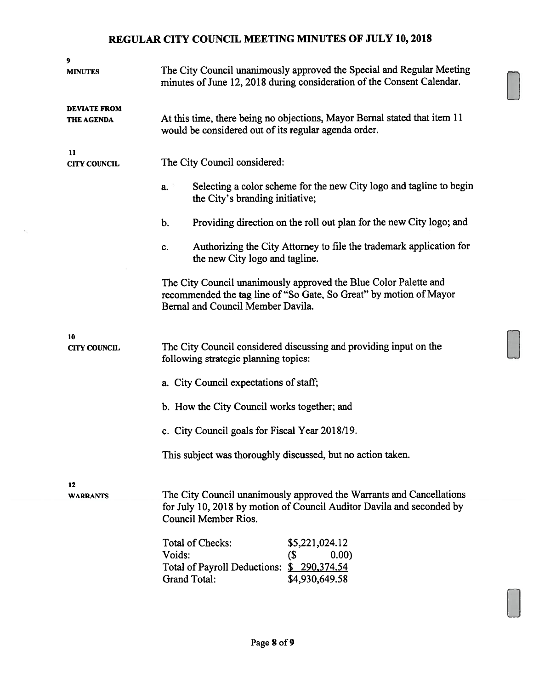| 9<br><b>MINUTES</b>                      | The City Council unanimously approved the Special and Regular Meeting<br>minutes of June 12, 2018 during consideration of the Consent Calendar.                             |  |  |  |
|------------------------------------------|-----------------------------------------------------------------------------------------------------------------------------------------------------------------------------|--|--|--|
| <b>DEVIATE FROM</b><br><b>THE AGENDA</b> | At this time, there being no objections, Mayor Bernal stated that item 11<br>would be considered out of its regular agenda order.                                           |  |  |  |
| 11<br><b>CITY COUNCIL</b>                | The City Council considered:                                                                                                                                                |  |  |  |
|                                          | Selecting a color scheme for the new City logo and tagline to begin<br>a.<br>the City's branding initiative;                                                                |  |  |  |
|                                          | Providing direction on the roll out plan for the new City logo; and<br>b.                                                                                                   |  |  |  |
|                                          | Authorizing the City Attorney to file the trademark application for<br>c.<br>the new City logo and tagline.                                                                 |  |  |  |
|                                          | The City Council unanimously approved the Blue Color Palette and<br>recommended the tag line of "So Gate, So Great" by motion of Mayor<br>Bernal and Council Member Davila. |  |  |  |
| 10<br><b>CITY COUNCIL</b>                | The City Council considered discussing and providing input on the<br>following strategic planning topics:                                                                   |  |  |  |
|                                          | a. City Council expectations of staff;                                                                                                                                      |  |  |  |
|                                          | b. How the City Council works together; and                                                                                                                                 |  |  |  |
|                                          | c. City Council goals for Fiscal Year 2018/19.                                                                                                                              |  |  |  |
|                                          | This subject was thoroughly discussed, but no action taken.                                                                                                                 |  |  |  |
| 12<br><b>WARRANTS</b>                    | The City Council unanimously approved the Warrants and Cancellations<br>for July 10, 2018 by motion of Council Auditor Davila and seconded by<br>Council Member Rios.       |  |  |  |
|                                          | Total of Checks:<br>\$5,221,024.12<br>Voids:<br>(\$<br>0.00)<br>Total of Payroll Deductions: \$ 290,374.54<br><b>Grand Total:</b><br>\$4,930,649.58                         |  |  |  |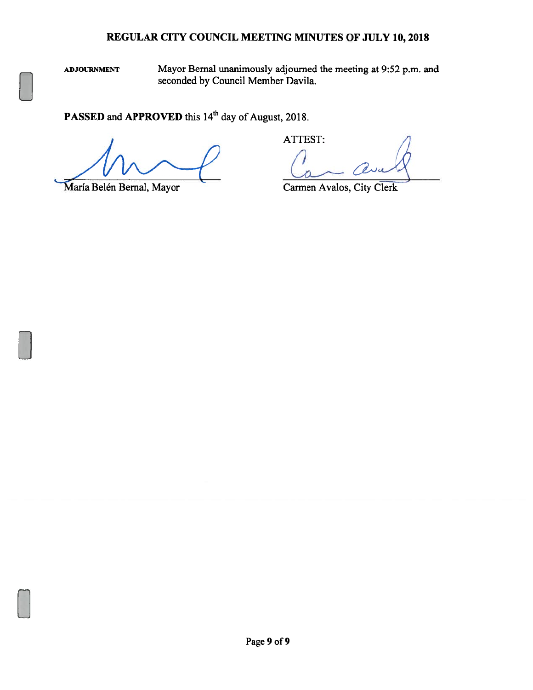ADJOURNMENT Mayor Bernal unanimously adjourned the meeting at 9:52 p.m. and seconded by Council Member Davila.

PASSED and APPROVED this 14<sup>th</sup> day of August, 2018.

ATTEST:

María Belén Bernal, Mayor Carmen Avalos, City Clerk